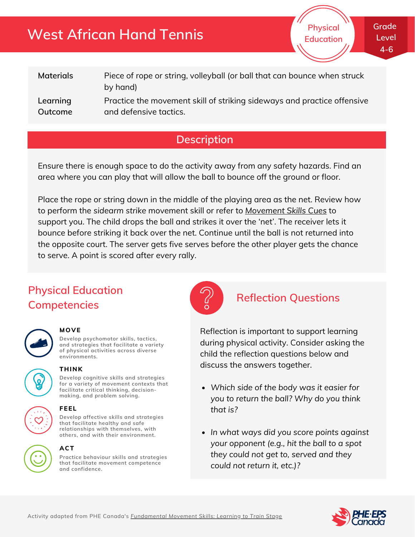## **West African Hand Tennis**

**Physical Education** **Grade Level 4-6**

| <b>Materials</b> | Piece of rope or string, volleyball (or ball that can bounce when struck<br>by hand) |
|------------------|--------------------------------------------------------------------------------------|
| Learning         | Practice the movement skill of striking sideways and practice offensive              |
| Outcome          | and defensive tactics.                                                               |

## **Description**

Ensure there is enough space to do the activity away from any safety hazards. Find an area where you can play that will allow the ball to bounce off the ground or floor.

Place the rope or string down in the middle of the playing area as the net. Review how to perform the *sidearm strike* movement skill or refer to *[Movement](http://phecanada.ca/movementskillscues) Skills Cues* to support you. The child drops the ball and strikes it over the 'net'. The receiver lets it bounce before striking it back over the net. Continue until the ball is not returned into the opposite court. The server gets five serves before the other player gets the chance to serve. A point is scored after every rally.

## **Physical Education Competencies**



### **MOVE**

**Develop psychomotor skills, tactics, and strategies that facilitate a variety of physical activities across diverse environments.**



### **THINK**

**Develop cognitive skills and strategies for a variety of movement contexts that facilitate critical thinking, decision making, and problem solving.**





#### **that facilitate healthy and safe relationships with themselves, with others, and with their environment.**

**Practice behaviour skills and strategies that facilitate movement competence and confidence. ACT**



### **Reflection Questions**

Reflection is important to support learning during physical activity. Consider asking the child the reflection questions below and discuss the answers together.

- *Which side of the body was it easier for you to return the ball? Why do you think that is?*
- *In what ways did you score points against your opponent (e.g., hit the ball to a spot they could not get to, served and they could not return it, etc.)?*